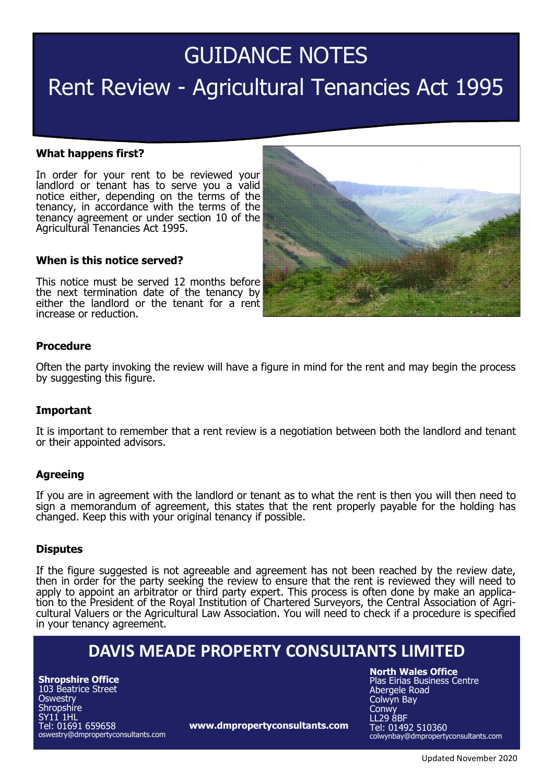# GUIDANCE NOTES Rent Review - Agricultural Tenancies Act 1995

#### **What happens first?**

In order for your rent to be reviewed your landlord or tenant has to serve you a valid notice either, depending on the terms of the tenancy, in accordance with the terms of the tenancy agreement or under section 10 of the Agricultural Tenancies Act 1995.

#### **When is this notice served?**

This notice must be served 12 months before the next termination date of the tenancy by either the landlord or the tenant for a rent increase or reduction.

## **Procedure**

Often the party invoking the review will have a figure in mind for the rent and may begin the process by suggesting this figure.

#### **Important**

It is important to remember that a rent review is a negotiation between both the landlord and tenant or their appointed advisors.

#### **Agreeing**

If you are in agreement with the landlord or tenant as to what the rent is then you will then need to sign a memorandum of agreement, this states that the rent properly payable for the holding has changed. Keep this with your original tenancy if possible.

#### **Disputes**

If the figure suggested is not agreeable and agreement has not been reached by the review date, then in order for the party seeking the review to ensure that the rent is reviewed they will need to apply to appoint an arbitrator or third party expert. This process is often done by make an application to the President of the Royal Institution of Chartered Surveyors, the Central Association of Agricultural Valuers or the Agricultural Law Association. You will need to check if a procedure is specified in your tenancy agreement.

## **DAVIS MEADE PROPERTY CONSULTANTS LIMITED**

**Shropshire Office** 103 Beatrice Street **Oswestry Shropshire** SY11 1HL Tel: 01691 659658 oswestry@dmpropertyconsultants.com

**www.dmpropertyconsultants.com**

**North Wales Office**

Plas Eirias Business Centre Abergele Road Colwyn Bay **Conwy** LL29 8BF Tel: 01492 510360 colwynbay@dmpropertyconsultants.com